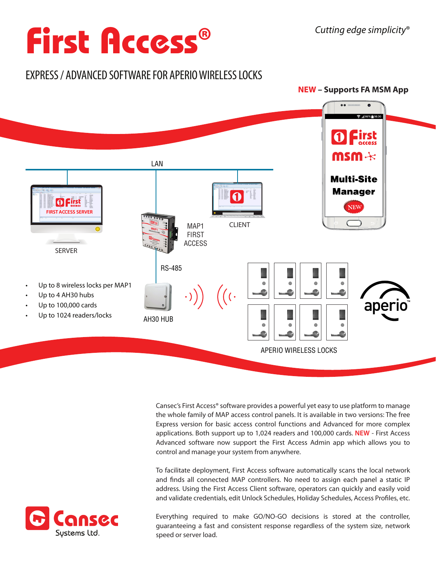# **First Access®**

## EXPRESS / ADVANCED SOFTWARE FOR APERIO WIRELESS LOCKS



Cansec's First Access® software provides a powerful yet easy to use platform to manage the whole family of MAP access control panels. It is available in two versions: The free Express version for basic access control functions and Advanced for more complex applications. Both support up to 1,024 readers and 100,000 cards. **NEW** - First Access Advanced software now support the First Access Admin app which allows you to control and manage your system from anywhere.

To facilitate deployment, First Access software automatically scans the local network and finds all connected MAP controllers. No need to assign each panel a static IP address. Using the First Access Client software, operators can quickly and easily void and validate credentials, edit Unlock Schedules, Holiday Schedules, Access Profiles, etc.

Everything required to make GO/NO-GO decisions is stored at the controller, guaranteeing a fast and consistent response regardless of the system size, network speed or server load.